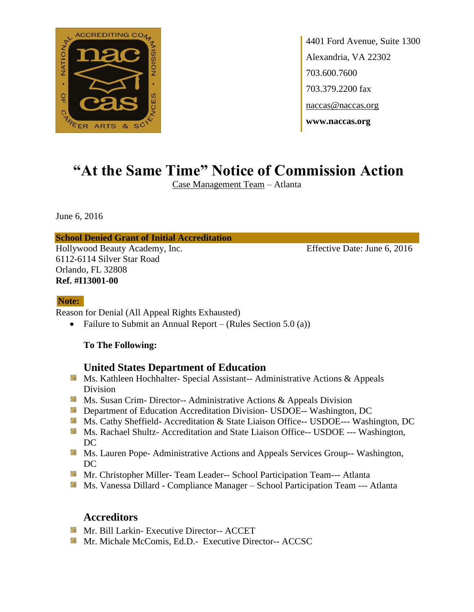

4401 Ford Avenue, Suite 1300 Alexandria, VA 22302 703.600.7600 703.379.2200 fax naccas@naccas.org **www.naccas.org**

# **"At the Same Time" Notice of Commission Action**

Case Management Team – Atlanta

June 6, 2016

#### **School Denied Grant of Initial Accreditation**

Hollywood Beauty Academy, Inc. Effective Date: June 6, 2016 6112-6114 Silver Star Road Orlando, FL 32808 **Ref. #I13001-00**

#### **Note:**

Reason for Denial (All Appeal Rights Exhausted)

• Failure to Submit an Annual Report – (Rules Section  $5.0$  (a))

#### **To The Following:**

## **United States Department of Education**

- **Ms. Kathleen Hochhalter- Special Assistant-- Administrative Actions & Appeals** Division
- **MS.** Susan Crim-Director-- Administrative Actions & Appeals Division
- **Department of Education Accreditation Division- USDOE-- Washington, DC**
- Ms. Cathy Sheffield- Accreditation & State Liaison Office-- USDOE--- Washington, DC
- **Ms. Rachael Shultz- Accreditation and State Liaison Office-- USDOE --- Washington,** DC
- **MS. Lauren Pope- Administrative Actions and Appeals Services Group-- Washington,** DC
- **Mr.** Christopher Miller-Team Leader-- School Participation Team--- Atlanta
- Ms. Vanessa Dillard Compliance Manager School Participation Team --- Atlanta

## **Accreditors**

- **Mr. Bill Larkin- Executive Director-- ACCET**
- **Mr. Michale McComis, Ed.D.** Executive Director-- ACCSC